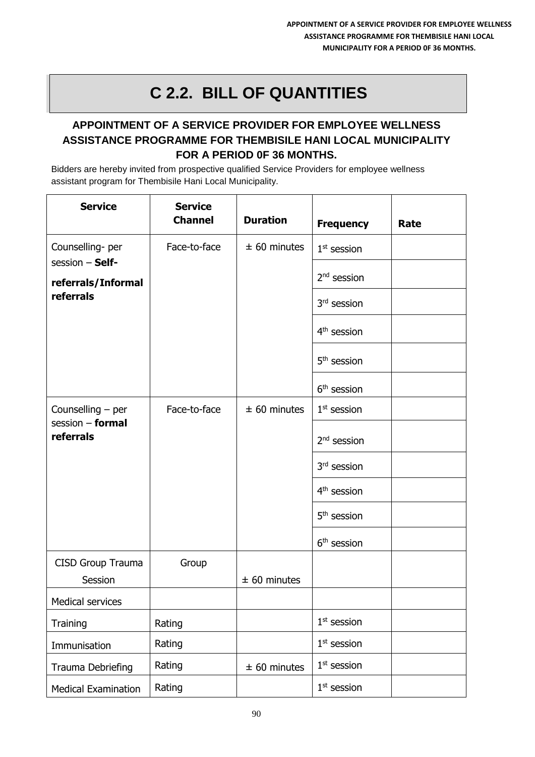## **C 2.2. BILL OF QUANTITIES**

## **APPOINTMENT OF A SERVICE PROVIDER FOR EMPLOYEE WELLNESS ASSISTANCE PROGRAMME FOR THEMBISILE HANI LOCAL MUNICIPALITY FOR A PERIOD 0F 36 MONTHS.**

Bidders are hereby invited from prospective qualified Service Providers for employee wellness assistant program for Thembisile Hani Local Municipality.

| <b>Service</b>                            | <b>Service</b><br><b>Channel</b> | <b>Duration</b> | <b>Frequency</b>        | Rate |
|-------------------------------------------|----------------------------------|-----------------|-------------------------|------|
| Counselling-per                           | Face-to-face                     | $± 60$ minutes  | $1st$ session           |      |
| session - Self-<br>referrals/Informal     |                                  |                 | $2nd$ session           |      |
| referrals                                 |                                  |                 | 3rd session             |      |
|                                           |                                  |                 | 4 <sup>th</sup> session |      |
|                                           |                                  |                 | 5 <sup>th</sup> session |      |
|                                           |                                  |                 | $6th$ session           |      |
| Counselling $-$ per<br>session $-$ formal | Face-to-face                     | $± 60$ minutes  | $1st$ session           |      |
| referrals                                 |                                  |                 | $2nd$ session           |      |
|                                           |                                  |                 | 3 <sup>rd</sup> session |      |
|                                           |                                  |                 | 4 <sup>th</sup> session |      |
|                                           |                                  |                 | 5 <sup>th</sup> session |      |
|                                           |                                  |                 | $6th$ session           |      |
| CISD Group Trauma<br>Session              | Group                            | $± 60$ minutes  |                         |      |
| <b>Medical services</b>                   |                                  |                 |                         |      |
| Training                                  | Rating                           |                 | $1st$ session           |      |
| Immunisation                              | Rating                           |                 | $1st$ session           |      |
| Trauma Debriefing                         | Rating                           | $± 60$ minutes  | $1st$ session           |      |
| <b>Medical Examination</b>                | Rating                           |                 | $1st$ session           |      |